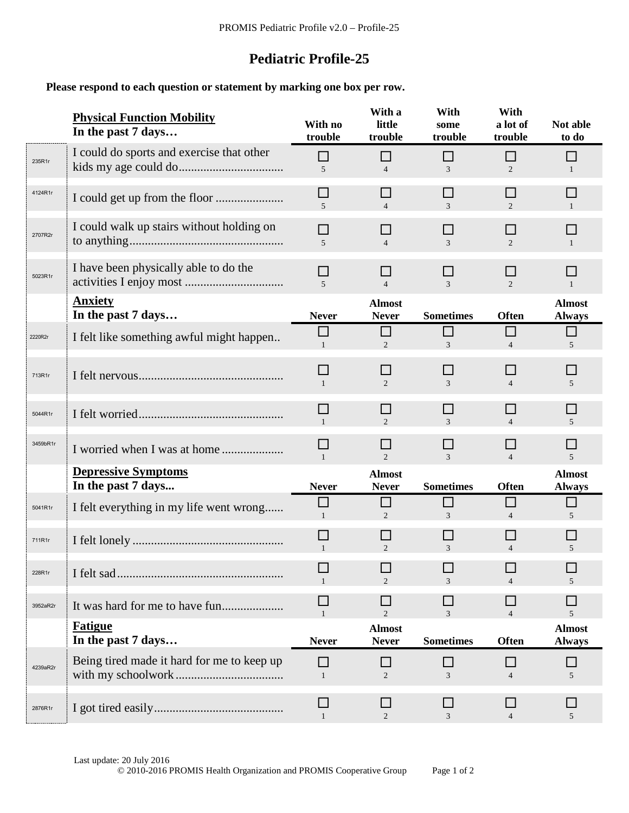## **Pediatric Profile-25**

**Please respond to each question or statement by marking one box per row.**

|          | <b>Physical Function Mobility</b><br>In the past 7 days | With no<br>trouble       | With a<br>little<br>trouble    | With<br>some<br>trouble  | With<br>a lot of<br>trouble    | Not able<br>to do              |  |
|----------|---------------------------------------------------------|--------------------------|--------------------------------|--------------------------|--------------------------------|--------------------------------|--|
| 235R1r   | I could do sports and exercise that other               | П<br>5                   | П<br>$\overline{4}$            | П<br>3                   | $\Box$<br>$\overline{2}$       | $\mathbf{1}$                   |  |
| 4124R1r  |                                                         | □<br>$\overline{5}$      | $\mathsf{L}$<br>$\overline{4}$ | $\Box$<br>$\mathfrak{Z}$ | $\Box$<br>$\overline{2}$       | L.                             |  |
| 2707R2r  | I could walk up stairs without holding on               | П<br>5                   | ΙI<br>$\overline{4}$           | $\Box$<br>$\mathfrak{Z}$ | ΙI<br>$\overline{2}$           | H<br>$\overline{1}$            |  |
| 5023R1r  | I have been physically able to do the                   | ΙI<br>$\overline{5}$     | ΙI<br>$\overline{4}$           | ΙI<br>$\mathfrak{Z}$     | $\Box$<br>2                    | <b>COL</b><br>$\overline{1}$   |  |
|          | <b>Anxiety</b><br>In the past 7 days                    | <b>Never</b>             | <b>Almost</b><br><b>Never</b>  | <b>Sometimes</b>         | <b>Often</b>                   | <b>Almost</b><br><b>Always</b> |  |
| 2220R2r  | I felt like something awful might happen                | □<br>$\mathbf{1}$        | $\Box$<br>$\mathfrak{D}$       | П<br>3                   | $\Box$<br>$\overline{4}$       | $\Box$<br>5                    |  |
| 713R1r   |                                                         | ΙI<br>$\mathbf{1}$       | ΙI<br>$\overline{2}$           | ΙI<br>3                  | $\overline{4}$                 | H<br>$5\overline{)}$           |  |
| 5044R1r  |                                                         | □<br>$\mathbf{1}$        | $\Box$<br>$\overline{2}$       | □<br>$\mathfrak{Z}$      | П<br>$\overline{4}$            | $\Box$<br>$\overline{5}$       |  |
| 3459bR1r |                                                         | $\Box$<br>$\overline{1}$ | $\mathsf{L}$<br>2              | □<br>$\overline{3}$      | $\mathbf{L}$<br>$\overline{4}$ | H.<br>$\overline{5}$           |  |
|          | <b>Depressive Symptoms</b><br>In the past 7 days        | <b>Never</b>             | <b>Almost</b><br><b>Never</b>  | <b>Sometimes</b>         | <b>Often</b>                   | <b>Almost</b><br><b>Always</b> |  |
| 5041R1r  | I felt everything in my life went wrong                 | П<br>$\mathbf{1}$        | П<br>2                         | $\Box$<br>$\mathfrak{Z}$ | $\Box$<br>$\overline{4}$       | П<br>5                         |  |
| 711R1r   |                                                         | $\Box$<br>$\overline{1}$ | П<br>2                         | □<br>3                   | $\Box$<br>$\overline{4}$       | ш<br>5                         |  |
| 228R1r   |                                                         |                          | $\mathfrak{D}$                 | $\mathcal{F}$            | $\overline{4}$                 | 5                              |  |
| 3952aR2r |                                                         |                          | $\mathfrak{D}$                 | 3                        |                                | 5                              |  |
|          | <b>Fatigue</b><br>In the past 7 days                    | <b>Never</b>             | <b>Almost</b><br><b>Never</b>  | <b>Sometimes</b>         | <b>Often</b>                   | <b>Almost</b><br><b>Always</b> |  |
| 4239aR2r | Being tired made it hard for me to keep up              | П<br>$\mathbf{1}$        | 2                              | 3                        | $\overline{4}$                 | 5                              |  |
| 2876R1r  |                                                         | $\mathsf{L}$<br>1        | 2                              | $\Box$<br>3              | $\overline{4}$                 | 5                              |  |